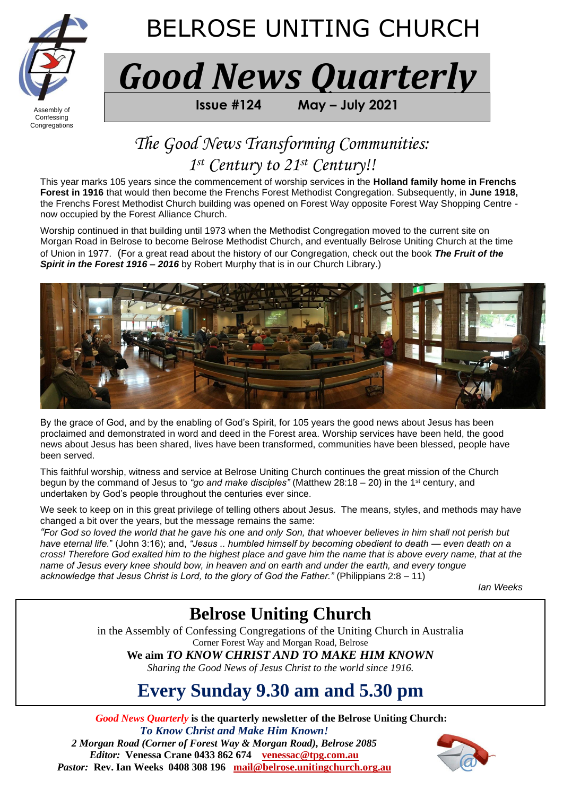

Congregations

j

# BELROSE UNITING CHURCH

*Good News Quarterly*

 $\overline{P}_{\text{Assembly of}}$  **FROM BELARGE UNITELY** 

### *The Good News Transforming Communities: 1 st Century to 21st Century!!*

This year marks 105 years since the commencement of worship services in the **Holland family home in Frenchs Forest in 1916** that would then become the Frenchs Forest Methodist Congregation. Subsequently, in **June 1918,** the Frenchs Forest Methodist Church building was opened on Forest Way opposite Forest Way Shopping Centre now occupied by the Forest Alliance Church.

Worship continued in that building until 1973 when the Methodist Congregation moved to the current site on Morgan Road in Belrose to become Belrose Methodist Church, and eventually Belrose Uniting Church at the time of Union in 1977. (For a great read about the history of our Congregation, check out the book *The Fruit of the Spirit in the Forest 1916 – 2016* by Robert Murphy that is in our Church Library.)



By the grace of God, and by the enabling of God's Spirit, for 105 years the good news about Jesus has been proclaimed and demonstrated in word and deed in the Forest area. Worship services have been held, the good news about Jesus has been shared, lives have been transformed, communities have been blessed, people have been served.

This faithful worship, witness and service at Belrose Uniting Church continues the great mission of the Church begun by the command of Jesus to *"go and make disciples"* (Matthew 28:18 – 20) in the 1st century, and undertaken by God's people throughout the centuries ever since.

We seek to keep on in this great privilege of telling others about Jesus. The means, styles, and methods may have changed a bit over the years, but the message remains the same:

*"For God so loved the world that he gave his one and only Son, that whoever believes in him shall not perish but have eternal life.*" (John 3:16); and, *"Jesus .. humbled himself by becoming obedient to death — even death on a cross! Therefore God exalted him to the highest place and gave him the name that is above every name, that at the name of Jesus every knee should bow, in heaven and on earth and under the earth, and every tongue acknowledge that Jesus Christ is Lord, to the glory of God the Father."* (Philippians 2:8 – 11)

*Ian Weeks* 

### **Belrose Uniting Church**

in the Assembly of Confessing Congregations of the Uniting Church in Australia Corner Forest Way and Morgan Road, Belrose

**We aim** *TO KNOW CHRIST AND TO MAKE HIM KNOWN*

*Sharing the Good News of Jesus Christ to the world since 1916.*

## **Every Sunday 9.30 am and 5.30 pm**

*Good News Quarterly* **is the quarterly newsletter of the Belrose Uniting Church:**  *To Know Christ and Make Him Known! 2 Morgan Road (Corner of Forest Way & Morgan Road), Belrose 2085 Editor:* **Venessa Crane 0433 862 674****[venessac@tpg.com.au](mailto:venessac@tpg.com.au)** *Pastor:* **Rev. Ian Weeks 0408 308 196****[mail@belrose.unitingchurch.org.au](mailto:mail@belrose.unitingchurch.org.au)**

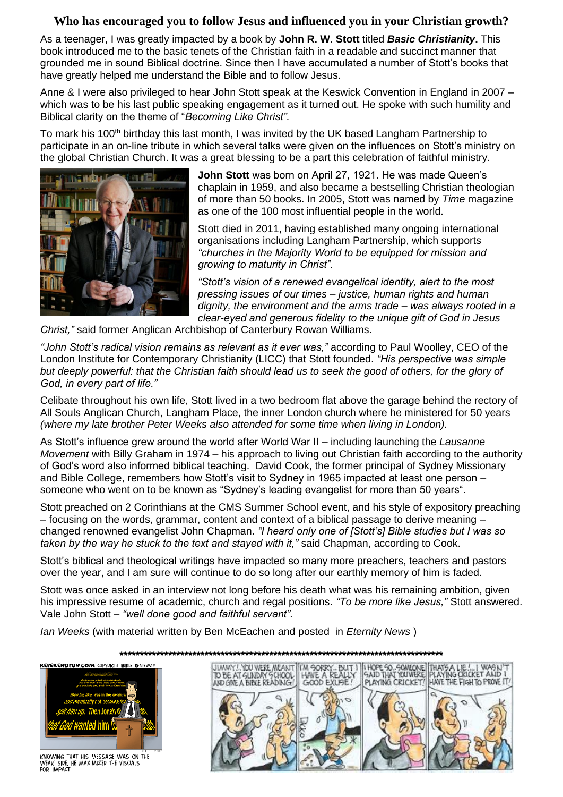#### **Who has encouraged you to follow Jesus and influenced you in your Christian growth?**

As a teenager, I was greatly impacted by a book by **John R. W. Stott** titled *Basic Christianity***.** This book introduced me to the basic tenets of the Christian faith in a readable and succinct manner that grounded me in sound Biblical doctrine. Since then I have accumulated a number of Stott's books that have greatly helped me understand the Bible and to follow Jesus.

Anne & I were also privileged to hear John Stott speak at the Keswick Convention in England in 2007 – which was to be his last public speaking engagement as it turned out. He spoke with such humility and Biblical clarity on the theme of "*Becoming Like Christ".*

To mark his 100<sup>th</sup> birthday this last month, I was invited by the UK based Langham Partnership to participate in an on-line tribute in which several talks were given on the influences on Stott's ministry on the global Christian Church. It was a great blessing to be a part this celebration of faithful ministry.



**John Stott** was born on April 27, 1921. He was made Queen's chaplain in 1959, and also became a bestselling Christian theologian of more than 50 books. In 2005, Stott was named by *Time* magazine as one of the 100 most influential people in the world.

Stott died in 2011, having established many ongoing international organisations including [Langham Partnership,](https://au.langham.org/) which supports *"churches in the Majority World to be equipped for mission and growing to maturity in Christ".* 

*"Stott's vision of a renewed evangelical identity, alert to the most pressing issues of our times – justice, human rights and human dignity, the environment and the arms trade – was always rooted in a clear-eyed and generous fidelity to the unique gift of God in Jesus* 

*Christ,"* said former Anglican Archbishop of Canterbury Rowan Williams.

*"John Stott's radical vision remains as relevant as it ever was,"* according to Paul Woolley, CEO of the London Institute for Contemporary Christianity (LICC) that Stott founded. *"His perspective was simple but deeply powerful: that the Christian faith should lead us to seek the good of others, for the glory of God, in every part of life."*

Celibate throughout his own life, Stott lived in a two bedroom flat above the garage behind the rectory of All Souls Anglican Church, Langham Place, the inner London church where he ministered for 50 years *(where my late brother Peter Weeks also attended for some time when living in London).*

As Stott's influence grew around the world after World War II – including launching the *Lausanne Movement* with Billy Graham in 1974 – his approach to living out Christian faith according to the authority of God's word also informed biblical teaching. David Cook, the former principal of Sydney Missionary and Bible College, remembers how Stott's visit to Sydney in 1965 impacted at least one person – someone who went on to be known as "Sydney's leading evangelist for more than 50 years".

Stott preached on 2 Corinthians at the CMS Summer School event, and his style of expository preaching – focusing on the words, grammar, content and context of a biblical passage to derive meaning – changed renowned evangelist John Chapman. *"I heard only one of [Stott's] Bible studies but I was so taken by the way he stuck to the text and stayed with it,"* said Chapman, according to Cook.

Stott's biblical and theological writings have impacted so many more preachers, teachers and pastors over the year, and I am sure will continue to do so long after our earthly memory of him is faded.

[Stott was once asked in an interview](https://www.crossway.org/articles/10-things-you-should-know-about-john-stott/) not long before his death what was his remaining ambition, given his impressive resume of academic, church and regal positions. *"To be more like Jesus,"* Stott answered. Vale John Stott – *"well done good and faithful servant".*

*Ian Weeks* (with material written by Ben McEachen and posted in *Eternity News* )



KNOWING THAT HIS MESSAGE WAS ON THE<br>WEAK SIDE. HE MAXIMIZED THE VISUALS FOR IMPACT

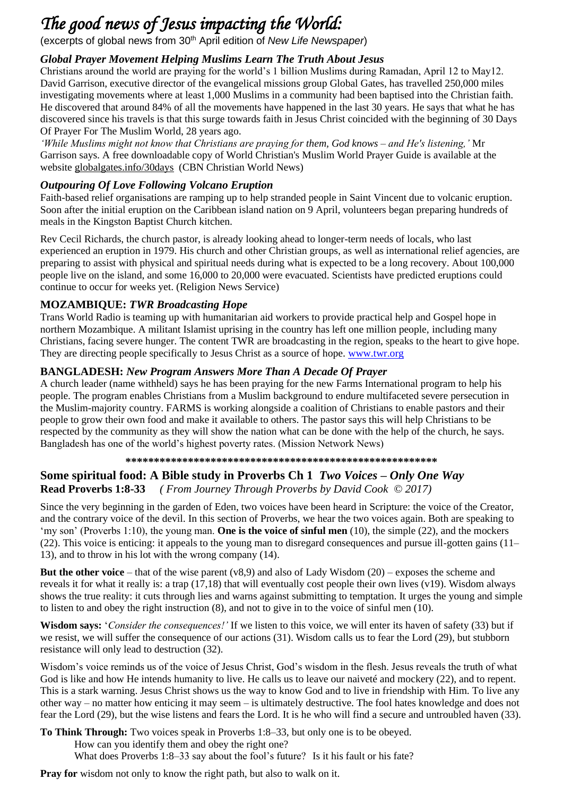### *The good news of Jesus impacting the World:*

(excerpts of global news from 30th April edition of *New Life Newspaper*)

### *Global Prayer Movement Helping Muslims Learn The Truth About Jesus*

Christians around the world are praying for the world's 1 billion Muslims during Ramadan, April 12 to May12. David Garrison, executive director of the evangelical missions group Global Gates, has travelled 250,000 miles investigating movements where at least 1,000 Muslims in a community had been baptised into the Christian faith. He discovered that around 84% of all the movements have happened in the last 30 years. He says that what he has discovered since his travels is that this surge towards faith in Jesus Christ coincided with the beginning of 30 Days Of Prayer For The Muslim World, 28 years ago.

*'While Muslims might not know that Christians are praying for them, God knows – and He's listening,'* Mr Garrison says. A free downloadable copy of World Christian's Muslim World Prayer Guide is available at the website globalgates.info/30days (CBN Christian World News)

#### *Outpouring Of Love Following Volcano Eruption*

Faith-based relief organisations are ramping up to help stranded people in Saint Vincent due to volcanic eruption. Soon after the initial eruption on the Caribbean island nation on 9 April, volunteers began preparing hundreds of meals in the Kingston Baptist Church kitchen.

Rev Cecil Richards, the church pastor, is already looking ahead to longer-term needs of locals, who last experienced an eruption in 1979. His church and other Christian groups, as well as international relief agencies, are preparing to assist with physical and spiritual needs during what is expected to be a long recovery. About 100,000 people live on the island, and some 16,000 to 20,000 were evacuated. Scientists have predicted eruptions could continue to occur for weeks yet. (Religion News Service)

#### **MOZAMBIQUE:** *TWR Broadcasting Hope*

Trans World Radio is teaming up with humanitarian aid workers to provide practical help and Gospel hope in northern Mozambique. A militant Islamist uprising in the country has left one million people, including many Christians, facing severe hunger. The content TWR are broadcasting in the region, speaks to the heart to give hope. They are directing people specifically to Jesus Christ as a source of hope. [www.twr.org](http://www.twr.org/)

### **BANGLADESH:** *New Program Answers More Than A Decade Of Prayer*

A church leader (name withheld) says he has been praying for the new Farms International program to help his people. The program enables Christians from a Muslim background to endure multifaceted severe persecution in the Muslim-majority country. FARMS is working alongside a coalition of Christians to enable pastors and their people to grow their own food and make it available to others. The pastor says this will help Christians to be respected by the community as they will show the nation what can be done with the help of the church, he says. Bangladesh has one of the world's highest poverty rates. (Mission Network News)

#### **\*\*\*\*\*\*\*\*\*\*\*\*\*\*\*\*\*\*\*\*\*\*\*\*\*\*\*\*\*\*\*\*\*\*\*\*\*\*\*\*\*\*\*\*\*\*\*\*\*\*\*\*\*\*\***

#### **Some spiritual food: A Bible study in Proverbs Ch 1** *Two Voices – Only One Way* **Read Proverbs 1:8-33** *( From Journey Through Proverbs by David Cook © 2017)*

Since the very beginning in the garden of Eden, two voices have been heard in Scripture: the voice of the Creator, and the contrary voice of the devil. In this section of Proverbs, we hear the two voices again. Both are speaking to 'my son' (Proverbs 1:10), the young man. **One is the voice of sinful men** (10), the simple (22), and the mockers (22). This voice is enticing: it appeals to the young man to disregard consequences and pursue ill-gotten gains (11– 13), and to throw in his lot with the wrong company (14).

**But the other voice** – that of the wise parent (v8,9) and also of Lady Wisdom (20) – exposes the scheme and reveals it for what it really is: a trap (17,18) that will eventually cost people their own lives (v19). Wisdom always shows the true reality: it cuts through lies and warns against submitting to temptation. It urges the young and simple to listen to and obey the right instruction (8), and not to give in to the voice of sinful men (10).

**Wisdom says:** '*Consider the consequences!'* If we listen to this voice, we will enter its haven of safety (33) but if we resist, we will suffer the consequence of our actions (31). Wisdom calls us to fear the Lord (29), but stubborn resistance will only lead to destruction (32).

Wisdom's voice reminds us of the voice of Jesus Christ, God's wisdom in the flesh. Jesus reveals the truth of what God is like and how He intends humanity to live. He calls us to leave our naiveté and mockery (22), and to repent. This is a stark warning. Jesus Christ shows us the way to know God and to live in friendship with Him. To live any other way – no matter how enticing it may seem – is ultimately destructive. The fool hates knowledge and does not fear the Lord (29), but the wise listens and fears the Lord. It is he who will find a secure and untroubled haven (33).

**To Think Through:** Two voices speak in Proverbs 1:8–33, but only one is to be obeyed. How can you identify them and obey the right one? What does Proverbs 1:8–33 say about the fool's future? Is it his fault or his fate?

**Pray for** wisdom not only to know the right path, but also to walk on it.